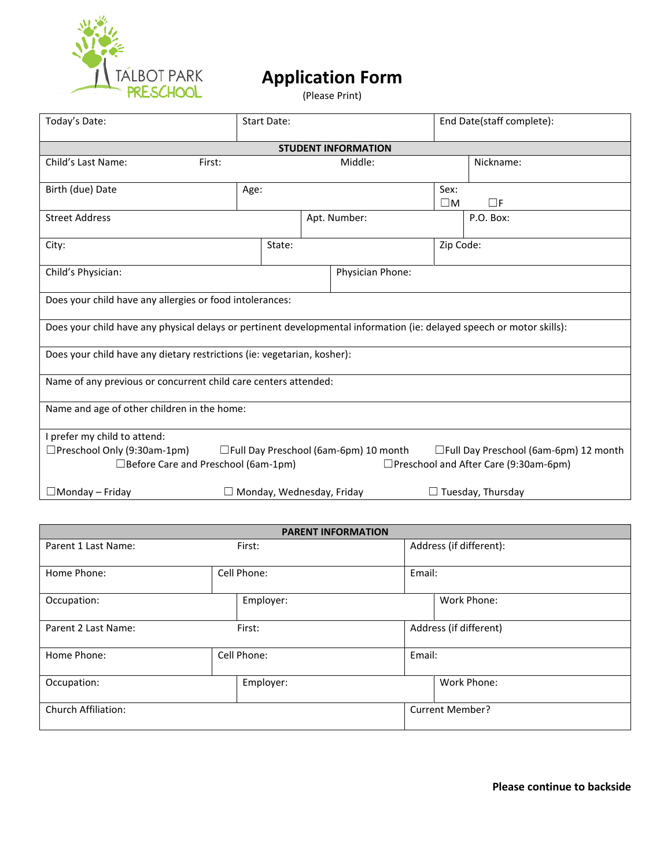

## **Application Form**

(Please Print)

| Today's Date:                                                                                                         | <b>Start Date:</b>               |                                         |                     | End Date(staff complete):              |  |  |  |  |
|-----------------------------------------------------------------------------------------------------------------------|----------------------------------|-----------------------------------------|---------------------|----------------------------------------|--|--|--|--|
| <b>STUDENT INFORMATION</b>                                                                                            |                                  |                                         |                     |                                        |  |  |  |  |
| Child's Last Name:<br>First:                                                                                          |                                  | Middle:                                 |                     | Nickname:                              |  |  |  |  |
| Birth (due) Date                                                                                                      | Age:                             |                                         | Sex:<br>$\square$ M | $\Box$ F                               |  |  |  |  |
| <b>Street Address</b>                                                                                                 |                                  | Apt. Number:                            |                     | P.O. Box:                              |  |  |  |  |
| City:                                                                                                                 | State:                           |                                         | Zip Code:           |                                        |  |  |  |  |
| Child's Physician:                                                                                                    |                                  | Physician Phone:                        |                     |                                        |  |  |  |  |
| Does your child have any allergies or food intolerances:                                                              |                                  |                                         |                     |                                        |  |  |  |  |
| Does your child have any physical delays or pertinent developmental information (ie: delayed speech or motor skills): |                                  |                                         |                     |                                        |  |  |  |  |
| Does your child have any dietary restrictions (ie: vegetarian, kosher):                                               |                                  |                                         |                     |                                        |  |  |  |  |
| Name of any previous or concurrent child care centers attended:                                                       |                                  |                                         |                     |                                        |  |  |  |  |
| Name and age of other children in the home:                                                                           |                                  |                                         |                     |                                        |  |  |  |  |
| I prefer my child to attend:                                                                                          |                                  |                                         |                     |                                        |  |  |  |  |
| □Preschool Only (9:30am-1pm)                                                                                          |                                  | □ Full Day Preschool (6am-6pm) 10 month |                     | □Full Day Preschool (6am-6pm) 12 month |  |  |  |  |
| $\Box$ Before Care and Preschool (6am-1pm)<br>□Preschool and After Care (9:30am-6pm)                                  |                                  |                                         |                     |                                        |  |  |  |  |
| $\Box$ Monday – Friday                                                                                                | $\Box$ Monday, Wednesday, Friday |                                         |                     | $\Box$ Tuesday, Thursday               |  |  |  |  |

| <b>PARENT INFORMATION</b>     |             |           |                         |                        |  |  |
|-------------------------------|-------------|-----------|-------------------------|------------------------|--|--|
| Parent 1 Last Name:           | First:      |           | Address (if different): |                        |  |  |
| Home Phone:                   | Cell Phone: |           | Email:                  |                        |  |  |
| Occupation:                   |             | Employer: |                         | Work Phone:            |  |  |
| Parent 2 Last Name:<br>First: |             |           | Address (if different)  |                        |  |  |
| Home Phone:                   | Cell Phone: |           | Email:                  |                        |  |  |
| Occupation:                   |             | Employer: |                         | Work Phone:            |  |  |
| <b>Church Affiliation:</b>    |             |           |                         | <b>Current Member?</b> |  |  |